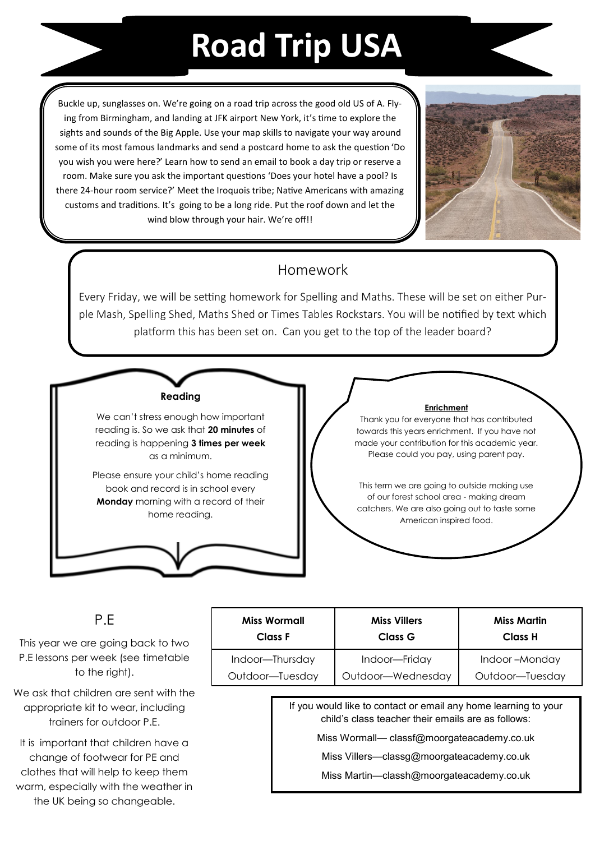## **Road Trip USA**

Buckle up, sunglasses on. We're going on a road trip across the good old US of A. Flying from Birmingham, and landing at JFK airport New York, it's time to explore the sights and sounds of the Big Apple. Use your map skills to navigate your way around some of its most famous landmarks and send a postcard home to ask the question 'Do you wish you were here?' Learn how to send an email to book a day trip or reserve a room. Make sure you ask the important questions 'Does your hotel have a pool? Is there 24-hour room service?' Meet the Iroquois tribe; Native Americans with amazing customs and traditions. It's going to be a long ride. Put the roof down and let the wind blow through your hair. We're off!!



### Homework

Every Friday, we will be setting homework for Spelling and Maths. These will be set on either Purple Mash, Spelling Shed, Maths Shed or Times Tables Rockstars. You will be notified by text which platform this has been set on. Can you get to the top of the leader board?

#### **Reading**

We can't stress enough how important reading is. So we ask that **20 minutes** of reading is happening **3 times per week**  as a minimum.

Please ensure your child's home reading book and record is in school every **Monday** morning with a record of their home reading.

#### **Enrichment**

Thank you for everyone that has contributed towards this years enrichment. If you have not made your contribution for this academic year. Please could you pay, using parent pay.

This term we are going to outside making use of our forest school area - making dream catchers. We are also going out to taste some American inspired food.

#### P.E

This year we are going back to two P.E lessons per week (see timetable to the right).

We ask that children are sent with the appropriate kit to wear, including trainers for outdoor P.E.

It is important that children have a change of footwear for PE and clothes that will help to keep them warm, especially with the weather in the UK being so changeable.

| <b>Miss Wormall</b> | <b>Miss Villers</b> | Miss Martin     |
|---------------------|---------------------|-----------------|
| Class F             | Class G             | Class H         |
| Indoor-Thursday     | Indoor-Friday       | Indoor-Monday   |
| Outdoor-Tuesday     | Outdoor-Wednesday   | Outdoor-Tuesday |

If you would like to contact or email any home learning to your child's class teacher their emails are as follows:

Miss Wormall— classf@moorgateacademy.co.uk

Miss Villers—classg@moorgateacademy.co.uk

Miss Martin—classh@moorgateacademy.co.uk